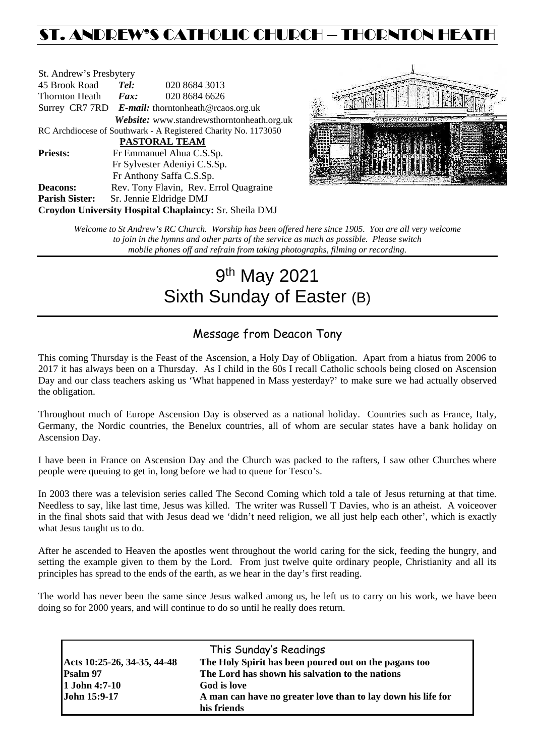## ST. ANDREW'S CATHOLIC CHURCH – THORNTON HEATH

| St. Andrew's Presbytery                                        |                                                      |                                            |  |  |  |
|----------------------------------------------------------------|------------------------------------------------------|--------------------------------------------|--|--|--|
| 45 Brook Road                                                  | Tel:                                                 | 020 8684 3013                              |  |  |  |
| <b>Thornton Heath</b>                                          | $\boldsymbol{Fax:}$                                  | 020 8684 6626                              |  |  |  |
|                                                                | Surrey CR7 7RD $E$ -mail: thorntonheath@rcaos.org.uk |                                            |  |  |  |
|                                                                |                                                      | Website: www.standrewsthorntonheath.org.uk |  |  |  |
| RC Archdiocese of Southwark - A Registered Charity No. 1173050 |                                                      |                                            |  |  |  |
| <b>PASTORAL TEAM</b>                                           |                                                      |                                            |  |  |  |
| <b>Priests:</b>                                                | Fr Emmanuel Ahua C.S.Sp.                             |                                            |  |  |  |
|                                                                | Fr Sylvester Adeniyi C.S.Sp.                         |                                            |  |  |  |
|                                                                |                                                      | Fr Anthony Saffa C.S.Sp.                   |  |  |  |
| <b>Deacons:</b>                                                | Rev. Tony Flavin, Rev. Errol Quagraine               |                                            |  |  |  |
| <b>Parish Sister:</b>                                          | Sr. Jennie Eldridge DMJ                              |                                            |  |  |  |
| <b>Croydon University Hospital Chaplaincy: Sr. Sheila DMJ</b>  |                                                      |                                            |  |  |  |



*Welcome to St Andrew's RC Church. Worship has been offered here since 1905. You are all very welcome to join in the hymns and other parts of the service as much as possible. Please switch mobile phones off and refrain from taking photographs, filming or recording.*

# 9th May 2021 Sixth Sunday of Easter (B)

## Message from Deacon Tony

This coming Thursday is the Feast of the Ascension, a Holy Day of Obligation. Apart from a hiatus from 2006 to 2017 it has always been on a Thursday. As I child in the 60s I recall Catholic schools being closed on Ascension Day and our class teachers asking us 'What happened in Mass yesterday?' to make sure we had actually observed the obligation.

Throughout much of Europe Ascension Day is observed as a national holiday. Countries such as France, Italy, Germany, the Nordic countries, the Benelux countries, all of whom are secular states have a bank holiday on Ascension Day.

I have been in France on Ascension Day and the Church was packed to the rafters, I saw other Churches where people were queuing to get in, long before we had to queue for Tesco's.

In 2003 there was a television series called The Second Coming which told a tale of Jesus returning at that time. Needless to say, like last time, Jesus was killed. The writer was Russell T Davies, who is an atheist. A voiceover in the final shots said that with Jesus dead we 'didn't need religion, we all just help each other', which is exactly what Jesus taught us to do.

After he ascended to Heaven the apostles went throughout the world caring for the sick, feeding the hungry, and setting the example given to them by the Lord. From just twelve quite ordinary people, Christianity and all its principles has spread to the ends of the earth, as we hear in the day's first reading.

The world has never been the same since Jesus walked among us, he left us to carry on his work, we have been doing so for 2000 years, and will continue to do so until he really does return.

| This Sunday's Readings      |                                                              |  |  |  |
|-----------------------------|--------------------------------------------------------------|--|--|--|
| Acts 10:25-26, 34-35, 44-48 | The Holy Spirit has been poured out on the pagans too        |  |  |  |
| Psalm 97                    | The Lord has shown his salvation to the nations              |  |  |  |
| 1 John 4:7-10               | God is love                                                  |  |  |  |
| John 15:9-17                | A man can have no greater love than to lay down his life for |  |  |  |
|                             | his friends                                                  |  |  |  |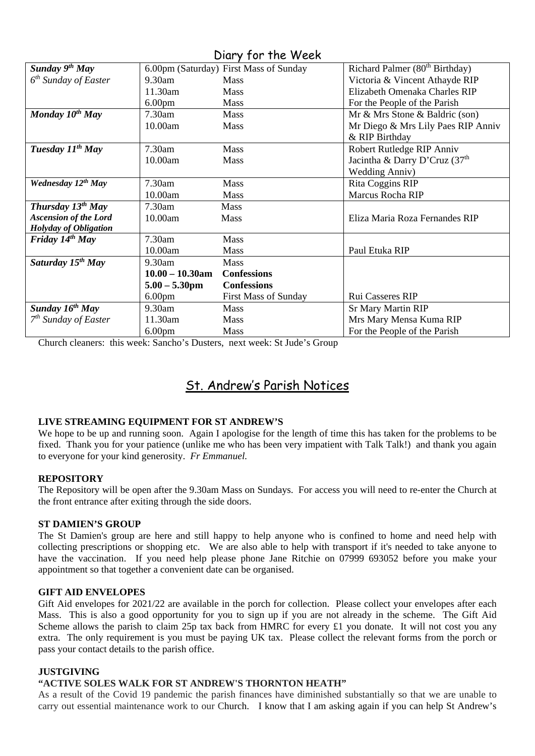| $U(1, Y, 1)$ into the contract of $V$ |                    |                                        |                                            |  |  |
|---------------------------------------|--------------------|----------------------------------------|--------------------------------------------|--|--|
| Sunday $9th$ May                      |                    | 6.00pm (Saturday) First Mass of Sunday | Richard Palmer (80 <sup>th</sup> Birthday) |  |  |
| $6th$ Sunday of Easter                | $9.30$ am          | <b>Mass</b>                            | Victoria & Vincent Athayde RIP             |  |  |
|                                       | 11.30am            | <b>Mass</b>                            | Elizabeth Omenaka Charles RIP              |  |  |
|                                       | 6.00 <sub>pm</sub> | Mass                                   | For the People of the Parish               |  |  |
| Monday $10^{th}$ May                  | 7.30am             | <b>Mass</b>                            | Mr & Mrs Stone & Baldric (son)             |  |  |
|                                       | 10.00am            | <b>Mass</b>                            | Mr Diego & Mrs Lily Paes RIP Anniv         |  |  |
|                                       |                    |                                        | & RIP Birthday                             |  |  |
| Tuesday 11 <sup>th</sup> May          | 7.30am             | <b>Mass</b>                            | Robert Rutledge RIP Anniv                  |  |  |
|                                       | 10.00am            | <b>Mass</b>                            | Jacintha & Darry D'Cruz (37 <sup>th</sup>  |  |  |
|                                       |                    |                                        | <b>Wedding Anniv)</b>                      |  |  |
| Wednesday 12th May                    | 7.30am             | Mass                                   | Rita Coggins RIP                           |  |  |
|                                       | 10.00am            | <b>Mass</b>                            | Marcus Rocha RIP                           |  |  |
| <b>Thursday 13th May</b>              | 7.30am             | <b>Mass</b>                            |                                            |  |  |
| <b>Ascension of the Lord</b>          | 10.00am            | Mass                                   | Eliza Maria Roza Fernandes RIP             |  |  |
| Holyday of Obligation                 |                    |                                        |                                            |  |  |
| Friday $14^{th}$ May                  | $7.30$ am          | <b>Mass</b>                            |                                            |  |  |
|                                       | 10.00am            | Mass                                   | Paul Etuka RIP                             |  |  |
| Saturday 15 <sup>th</sup> May         | 9.30am             | <b>Mass</b>                            |                                            |  |  |
|                                       | $10.00 - 10.30$ am | <b>Confessions</b>                     |                                            |  |  |
|                                       | $5.00 - 5.30$ pm   | <b>Confessions</b>                     |                                            |  |  |
|                                       | 6.00 <sub>pm</sub> | <b>First Mass of Sunday</b>            | Rui Casseres RIP                           |  |  |
| Sunday $16^{th}$ May                  | 9.30am             | <b>Mass</b>                            | <b>Sr Mary Martin RIP</b>                  |  |  |
| $7th$ Sunday of Easter                | 11.30am            | <b>Mass</b>                            | Mrs Mary Mensa Kuma RIP                    |  |  |
|                                       | 6.00 <sub>pm</sub> | Mass                                   | For the People of the Parish               |  |  |

Church cleaners: this week: Sancho's Dusters, next week: St Jude's Group

## St. Andrew's Parish Notices

#### **LIVE STREAMING EQUIPMENT FOR ST ANDREW'S**

We hope to be up and running soon. Again I apologise for the length of time this has taken for the problems to be fixed. Thank you for your patience (unlike me who has been very impatient with Talk Talk!) and thank you again to everyone for your kind generosity. *Fr Emmanuel.*

#### **REPOSITORY**

The Repository will be open after the 9.30am Mass on Sundays. For access you will need to re-enter the Church at the front entrance after exiting through the side doors.

#### **ST DAMIEN'S GROUP**

The St Damien's group are here and still happy to help anyone who is confined to home and need help with collecting prescriptions or shopping etc. We are also able to help with transport if it's needed to take anyone to have the vaccination. If you need help please phone Jane Ritchie on 07999 693052 before you make your appointment so that together a convenient date can be organised.

#### **GIFT AID ENVELOPES**

Gift Aid envelopes for 2021/22 are available in the porch for collection. Please collect your envelopes after each Mass. This is also a good opportunity for you to sign up if you are not already in the scheme. The Gift Aid Scheme allows the parish to claim 25p tax back from HMRC for every £1 you donate. It will not cost you any extra. The only requirement is you must be paying UK tax. Please collect the relevant forms from the porch or pass your contact details to the parish office.

#### **JUSTGIVING**

#### **"ACTIVE SOLES WALK FOR ST ANDREW'S THORNTON HEATH"**

As a result of the Covid 19 pandemic the parish finances have diminished substantially so that we are unable to carry out essential maintenance work to our Church. I know that I am asking again if you can help St Andrew's

### Diary for the Week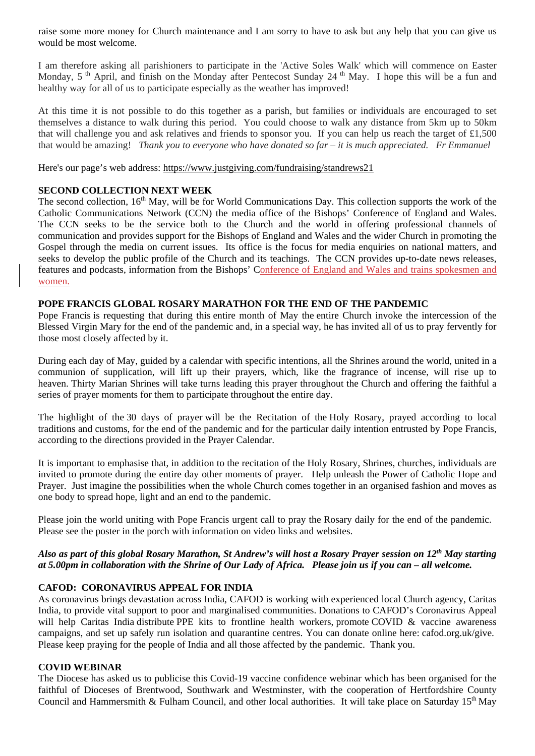raise some more money for Church maintenance and I am sorry to have to ask but any help that you can give us would be most welcome.

I am therefore asking all parishioners to participate in the 'Active Soles Walk' which will commence on Easter Monday, 5<sup>th</sup> April, and finish on the Monday after Pentecost Sunday 24<sup>th</sup> May. I hope this will be a fun and healthy way for all of us to participate especially as the weather has improved!

At this time it is not possible to do this together as a parish, but families or individuals are encouraged to set themselves a distance to walk during this period. You could choose to walk any distance from 5km up to 50km that will challenge you and ask relatives and friends to sponsor you. If you can help us reach the target of £1,500 that would be amazing! *Thank you to everyone who have donated so far – it is much appreciated. Fr Emmanuel*

Here's our page's web address: [https://www.justgiving.com/fundraising/standrews21](https://trk.justgiving.com/f/a/BPN4hBn8uqZ12HJVwwq_4w%7E%7E/AAME8QA%7E/RgRiG7JGP0TgaHR0cHM6Ly93d3cuanVzdGdpdmluZy5jb20vZnVuZHJhaXNpbmcvc3RhbmRyZXdzMjE_dXRtX2NhbXBhaWduPWxjX2ZycF9zaGFyZV90cmFuc2FjdGlvbl9mdW5kcmFpc2VyX3BhZ2VfbGF1bmNoZWQmdXRtX2NvbnRlbnQ9YjQ2NmIyMmYtMWUzOC00ODc5LWI1ZDgtZmZlZTkzNmE0OWViJnV0bV9tZWRpdW09ZW1haWwmdXRtX3NvdXJjZT1wb3N0b2ZmaWNlJnV0bV90ZXJtPTE2MTQzNTk4NzYzMDNXA3NwY0IKYDdGLTlg_BpsZFIadGhvcm50b25oZWF0aEByY2Fvcy5vcmcudWtYBAAAAAM%7E)

#### **SECOND COLLECTION NEXT WEEK**

The second collection, 16<sup>th</sup> May, will be for World Communications Day. This collection supports the work of the Catholic Communications Network (CCN) the media office of the Bishops' Conference of England and Wales. The CCN seeks to be the service both to the Church and the world in offering professional channels of communication and provides support for the Bishops of England and Wales and the wider Church in promoting the Gospel through the media on current issues. Its office is the focus for media enquiries on national matters, and seeks to develop the public profile of the Church and its teachings. The CCN provides up-to-date news releases, features and podcasts, information from the Bishops' Conference of England and Wales and trains spokesmen and women.

#### **POPE FRANCIS GLOBAL ROSARY MARATHON FOR THE END OF THE PANDEMIC**

Pope Francis is requesting that during this entire month of May the entire Church invoke the intercession of the Blessed Virgin Mary for the end of the pandemic and, in a special way, he has invited all of us to pray fervently for those most closely affected by it.

During each day of May, guided by a calendar with specific intentions, all the Shrines around the world, united in a communion of supplication, will lift up their prayers, which, like the fragrance of incense, will rise up to heaven. Thirty Marian Shrines will take turns leading this prayer throughout the Church and offering the faithful a series of prayer moments for them to participate throughout the entire day.

The highlight of the 30 days of prayer will be the Recitation of the Holy Rosary, prayed according to local traditions and customs, for the end of the pandemic and for the particular daily intention entrusted by Pope Francis, according to the directions provided in the Prayer Calendar.

It is important to emphasise that, in addition to the recitation of the Holy Rosary, Shrines, churches, individuals are invited to promote during the entire day other moments of prayer. Help unleash the Power of Catholic Hope and Prayer. Just imagine the possibilities when the whole Church comes together in an organised fashion and moves as one body to spread hope, light and an end to the pandemic.

Please join the world uniting with Pope Francis urgent call to pray the Rosary daily for the end of the pandemic. Please see the poster in the porch with information on video links and websites.

#### *Also as part of this global Rosary Marathon, St Andrew's will host a Rosary Prayer session on 12th May starting at 5.00pm in collaboration with the Shrine of Our Lady of Africa. Please join us if you can – all welcome.*

#### **CAFOD: CORONAVIRUS APPEAL FOR INDIA**

As coronavirus brings devastation across India, CAFOD is working with experienced local Church agency, Caritas India, to provide vital support to poor and marginalised communities. Donations to CAFOD's Coronavirus Appeal will help Caritas India distribute PPE kits to frontline health workers, promote COVID & vaccine awareness campaigns, and set up safely run isolation and quarantine centres. You can donate online here: [cafod.org.uk/give.](https://cafod.org.uk/Give) Please keep praying for the people of India and all those affected by the pandemic. Thank you.

#### **COVID WEBINAR**

The Diocese has asked us to publicise this Covid-19 vaccine confidence webinar which has been organised for the faithful of Dioceses of Brentwood, Southwark and Westminster, with the cooperation of Hertfordshire County Council and Hammersmith & Fulham Council, and other local authorities. It will take place on Saturday  $15<sup>th</sup>$  May